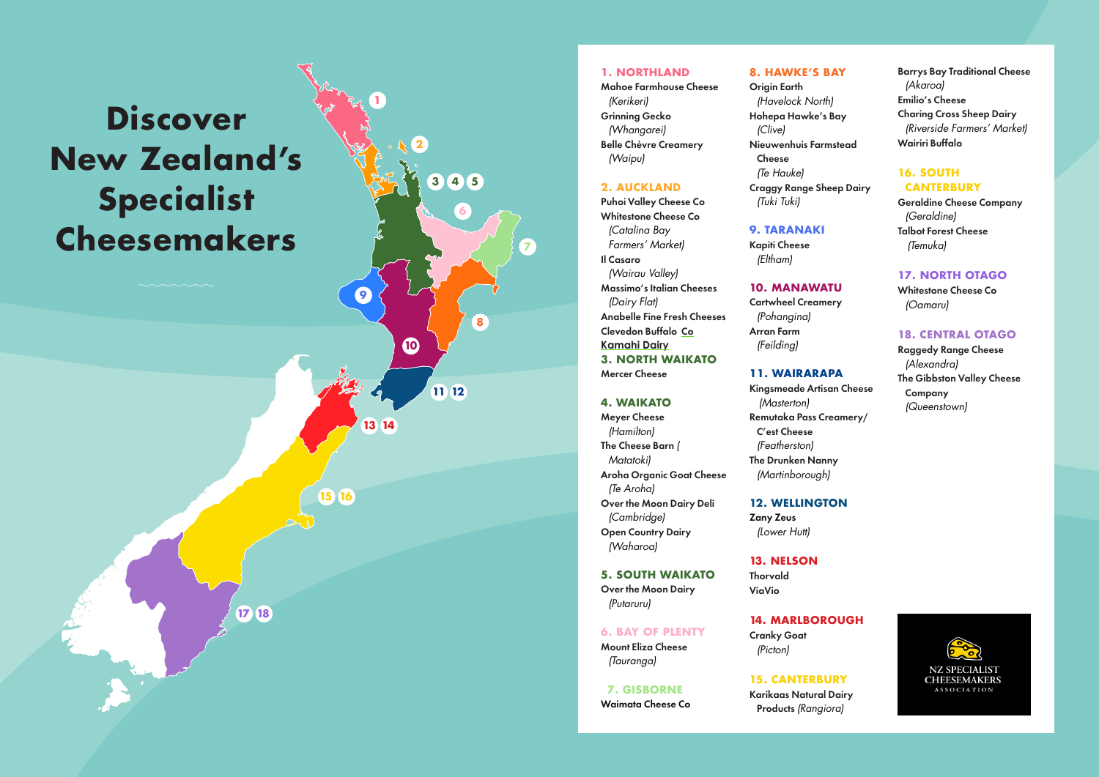# **Discover New Zealand's Specialist Cheesemakers**

**1**

**9**

**13 14**

**15 16**

**17 18**

**10**

**2**

**3**

**4 5**

**6**

**8**

**11 12**

**7**

## **1. NORTHLAND**

Mahoe Farmhouse Cheese *(Kerikeri)*  Grinning Gecko *(Whangarei)*  Belle Chèvre Creamery *(Waipu)*

#### **2. AUCKLAND**

Puhoi Valley Cheese Co Whitestone Cheese Co *(Catalina Bay Farmers' Market)* Il Casaro *(Wairau Valley)*  Massimo's Italian Cheeses *(Dairy Flat)*  Anabelle Fine Fresh Cheeses Clevedon Buffalo Co **Kamahi Dairy 3. NORTH WAIKATO** Mercer Cheese

#### **4. WAIKATO**

Meyer Cheese *(Hamilton)* The Cheese Barn *( Matatoki)*  Aroha Organic Goat Cheese *(Te Aroha)*  Over the Moon Dairy Deli *(Cambridge)* Open Country Dairy *(Waharoa)*

#### **5. SOUTH WAIKATO**

Over the Moon Dairy *(Putaruru)*

#### **6. BAY OF PLENTY**

Mount Eliza Cheese *(Tauranga)*

#### **7. GISBORNE** Waimata Cheese Co

### **8. HAWKE'S BAY**

**Origin Earth** *(Havelock North)* Hohepa Hawke's Bay *(Clive)* Nieuwenhuis Farmstead Cheese *(Te Hauke)*  Craggy Range Sheep Dairy *(Tuki Tuki)*

#### **9. TARANAKI**

Kapiti Cheese *(Eltham)* 

#### **10. MANAWATU**

Cartwheel Creamery *(Pohangina)*  Arran Farm *(Feilding)* 

#### **11. WAIRARAPA**

Kingsmeade Artisan Cheese *(Masterton)* Remutaka Pass Creamery/ C'est Cheese *(Featherston)*  The Drunken Nanny *(Martinborough)* 

#### **12. WELLINGTON**

Zany Zeus *(Lower Hutt)* 

## **13. NELSON**

Thorvald ViaVio

## **14. MARLBOROUGH**

Cranky Goat *(Picton)* 

## **15. CANTERBURY**

Karikaas Natural Dairy Products *(Rangiora)*

Barrys Bay Traditional Cheese *(Akaroa)* Emilio's Cheese Charing Cross Sheep Dairy *(Riverside Farmers' Market)* Wairiri Buffalo

## **16. SOUTH CANTERBURY**

Geraldine Cheese Company *(Geraldine)* Talbot Forest Cheese *(Temuka)*

## **17. NORTH OTAGO**

Whitestone Cheese Co *(Oamaru)*

## **18. CENTRAL OTAGO**

Raggedy Range Cheese *(Alexandra)* The Gibbston Valley Cheese Company *(Queenstown)*

> **NZ SPECIALIST CHEESEMAKERS ASSOCIATION**